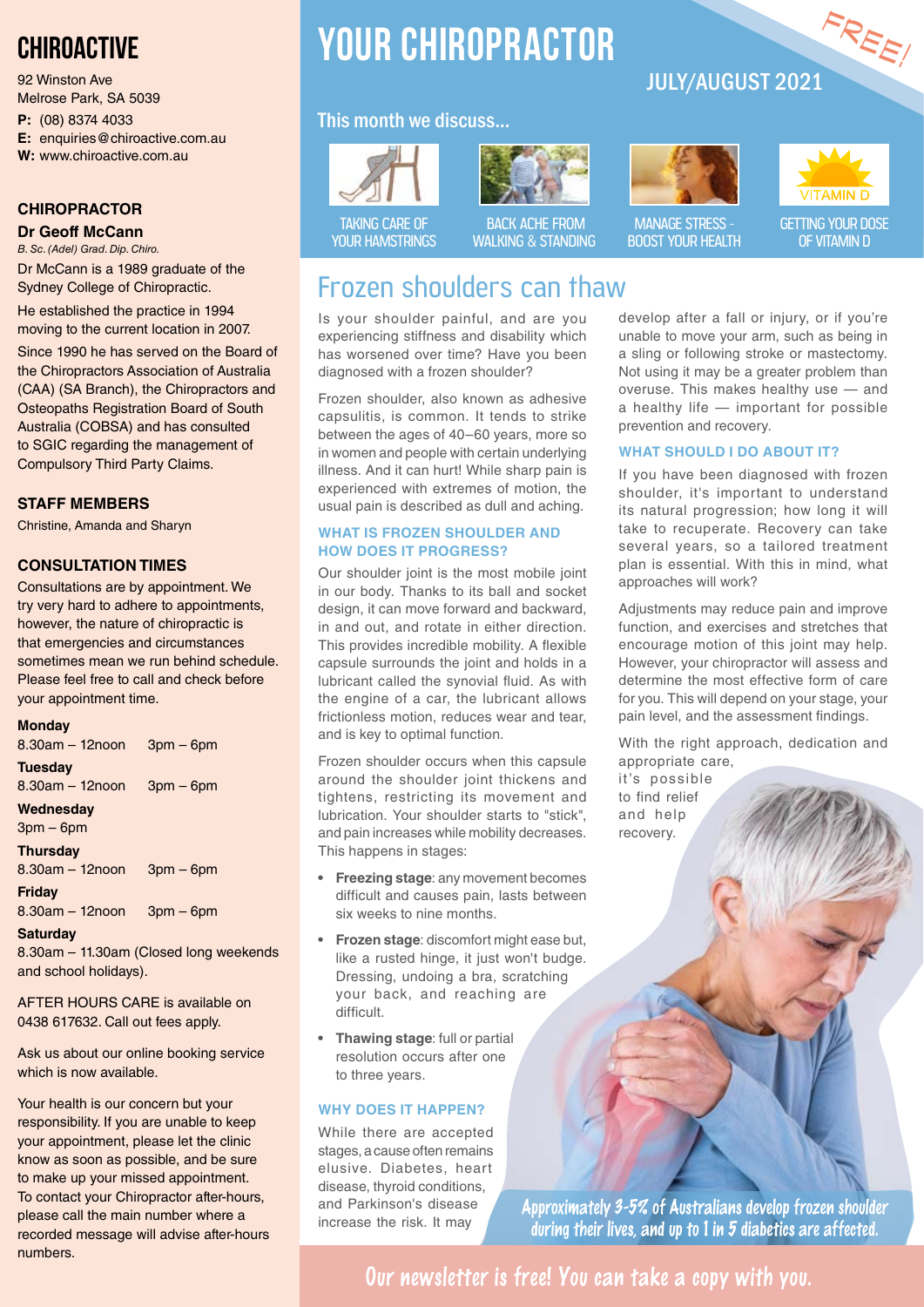# **CHIROACTIVE**

92 Winston Ave Melrose Park, SA 5039

**P:** (08) 8374 4033

**E:** enquiries@chiroactive.com.au

**W:** www.chiroactive.com.au

#### **CHIROPRACTOR**

**Dr Geoff McCann**

*B. Sc. (Adel) Grad. Dip. Chiro.* Dr McCann is a 1989 graduate of the Sydney College of Chiropractic.

He established the practice in 1994 moving to the current location in 2007.

Since 1990 he has served on the Board of the Chiropractors Association of Australia (CAA) (SA Branch), the Chiropractors and Osteopaths Registration Board of South Australia (COBSA) and has consulted to SGIC regarding the management of Compulsory Third Party Claims.

#### **STAFF MEMBERS**

Christine, Amanda and Sharyn

#### **CONSULTATION TIMES**

Consultations are by appointment. We try very hard to adhere to appointments, however, the nature of chiropractic is that emergencies and circumstances sometimes mean we run behind schedule. Please feel free to call and check before your appointment time.

#### **Monday**

| $8.30am - 12noon$    | $3pm - 6pm$ |
|----------------------|-------------|
| <b>Tuesday</b>       |             |
| $8.30$ am $-12$ noon | $3pm - 6pm$ |
| Wednesday            |             |
| $3pm-6pm$            |             |
| <b>Thursday</b>      |             |
| $8.30$ am $-12$ noon | $3pm - 6pm$ |
| <b>Friday</b>        |             |
| $8.30$ am $-12$ noon | $3pm - 6pm$ |
| <b>Saturday</b>      |             |

8.30am – 11.30am (Closed long weekends and school holidays).

AFTER HOURS CARE is available on 0438 617632. Call out fees apply.

Ask us about our online booking service which is now available.

Your health is our concern but your responsibility. If you are unable to keep your appointment, please let the clinic know as soon as possible, and be sure to make up your missed appointment. To contact your Chiropractor after-hours, please call the main number where a recorded message will advise after-hours numbers.

# **YOUR CHIROPRACTOR**

### This month we discuss...





#### BACK ACHE FROM WALKING & STANDING

# JULY/AUGUST 2021





FREE!

MANAGE STRESS - BOOST YOUR HEALTH

GETTING YOUR DOSE OF VITAMIN D

# Frozen shoulders can thaw

Is your shoulder painful, and are you experiencing stiffness and disability which has worsened over time? Have you been diagnosed with a frozen shoulder?

Frozen shoulder, also known as adhesive capsulitis, is common. It tends to strike between the ages of 40–60 years, more so in women and people with certain underlying illness. And it can hurt! While sharp pain is experienced with extremes of motion, the usual pain is described as dull and aching.

#### **WHAT IS FROZEN SHOULDER AND HOW DOES IT PROGRESS?**

Our shoulder joint is the most mobile joint in our body. Thanks to its ball and socket design, it can move forward and backward, in and out, and rotate in either direction. This provides incredible mobility. A flexible capsule surrounds the joint and holds in a lubricant called the synovial fluid. As with the engine of a car, the lubricant allows frictionless motion, reduces wear and tear, and is key to optimal function.

Frozen shoulder occurs when this capsule around the shoulder joint thickens and tightens, restricting its movement and lubrication. Your shoulder starts to "stick", and pain increases while mobility decreases. This happens in stages:

- **• Freezing stage**: any movement becomes difficult and causes pain, lasts between six weeks to nine months.
- **• Frozen stage**: discomfort might ease but, like a rusted hinge, it just won't budge. Dressing, undoing a bra, scratching your back, and reaching are difficult.
- **• Thawing stage**: full or partial resolution occurs after one to three years.

#### **WHY DOES IT HAPPEN?**

While there are accepted stages, a cause often remains elusive. Diabetes, heart disease, thyroid conditions, and Parkinson's disease increase the risk. It may

develop after a fall or injury, or if you're unable to move your arm, such as being in a sling or following stroke or mastectomy. Not using it may be a greater problem than overuse. This makes healthy use — and a healthy life — important for possible prevention and recovery.

#### **WHAT SHOULD I DO ABOUT IT?**

If you have been diagnosed with frozen shoulder, it's important to understand its natural progression; how long it will take to recuperate. Recovery can take several years, so a tailored treatment plan is essential. With this in mind, what approaches will work?

Adjustments may reduce pain and improve function, and exercises and stretches that encourage motion of this joint may help. However, your chiropractor will assess and determine the most effective form of care for you. This will depend on your stage, your pain level, and the assessment findings.

With the right approach, dedication and appropriate care,

it's possible to find relief and help recovery.

**Approximately 3-5% of Australians develop frozen shoulder during their lives, and up to 1 in 5 diabetics are affected.**

**Our newsletter is free! You can take a copy with you.**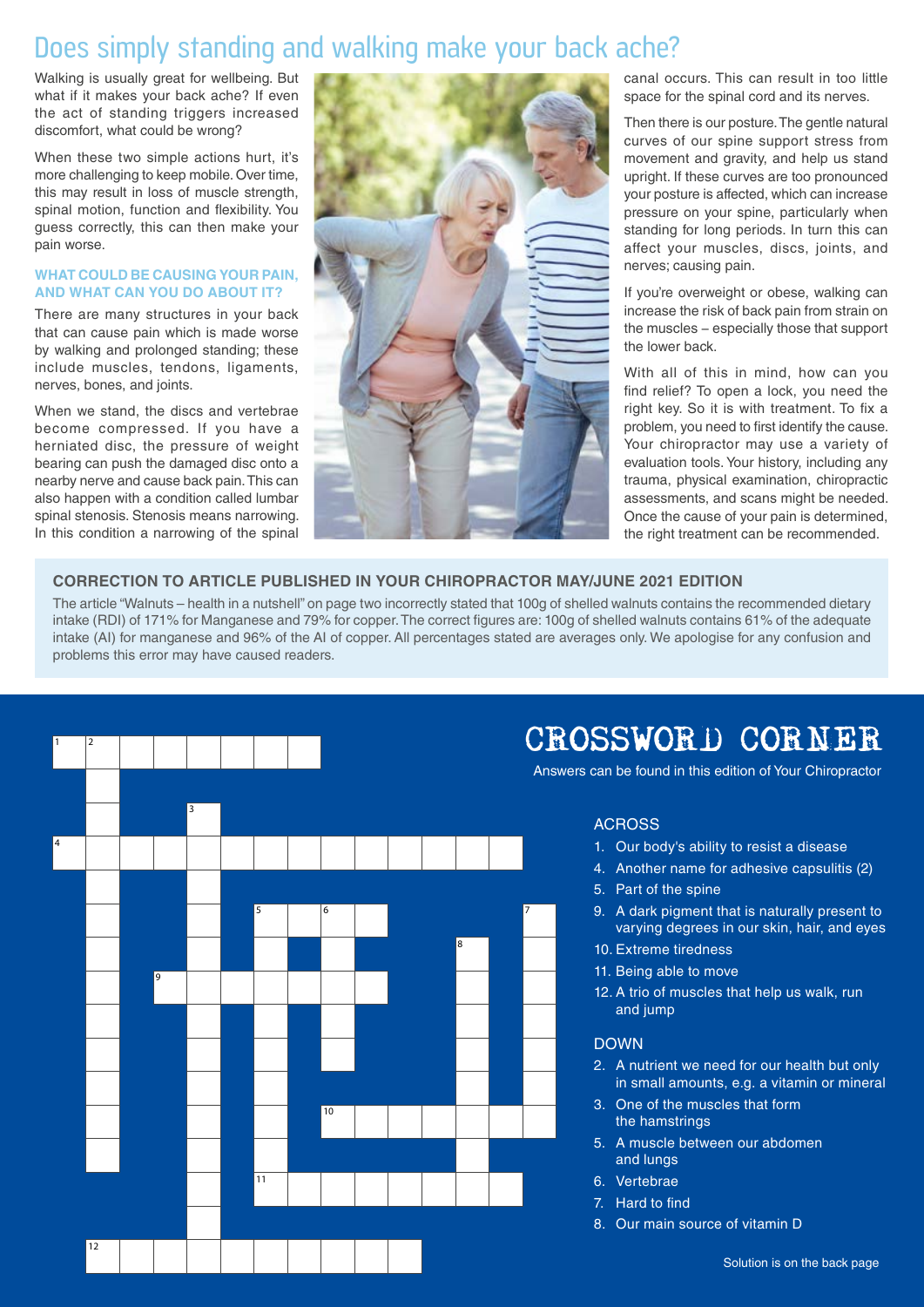# Does simply standing and walking make your back ache?

Walking is usually great for wellbeing. But what if it makes your back ache? If even the act of standing triggers increased discomfort, what could be wrong?

When these two simple actions hurt, it's more challenging to keep mobile. Over time, this may result in loss of muscle strength, spinal motion, function and flexibility. You guess correctly, this can then make your pain worse.

#### **WHAT COULD BE CAUSING YOUR PAIN, AND WHAT CAN YOU DO ABOUT IT?**

There are many structures in your back that can cause pain which is made worse by walking and prolonged standing; these include muscles, tendons, ligaments, nerves, bones, and joints.

When we stand, the discs and vertebrae become compressed. If you have a herniated disc, the pressure of weight bearing can push the damaged disc onto a nearby nerve and cause back pain. This can also happen with a condition called lumbar spinal stenosis. Stenosis means narrowing. In this condition a narrowing of the spinal



canal occurs. This can result in too little space for the spinal cord and its nerves.

Then there is our posture. The gentle natural curves of our spine support stress from movement and gravity, and help us stand upright. If these curves are too pronounced your posture is affected, which can increase pressure on your spine, particularly when standing for long periods. In turn this can affect your muscles, discs, joints, and nerves; causing pain.

If you're overweight or obese, walking can increase the risk of back pain from strain on the muscles − especially those that support the lower back.

With all of this in mind, how can you find relief? To open a lock, you need the right key. So it is with treatment. To fix a problem, you need to first identify the cause. Your chiropractor may use a variety of evaluation tools. Your history, including any trauma, physical examination, chiropractic assessments, and scans might be needed. Once the cause of your pain is determined, the right treatment can be recommended.

#### **CORRECTION TO ARTICLE PUBLISHED IN YOUR CHIROPRACTOR MAY/JUNE 2021 EDITION**

The article "Walnuts – health in a nutshell" on page two incorrectly stated that 100g of shelled walnuts contains the recommended dietary intake (RDI) of 171% for Manganese and 79% for copper. The correct figures are: 100g of shelled walnuts contains 61% of the adequate intake (AI) for manganese and 96% of the AI of copper. All percentages stated are averages only. We apologise for any confusion and problems this error may have caused readers.



# CROSSWORD CORNER

Answers can be found in this edition of Your Chiropractor

#### ACROSS

- 1. Our body's ability to resist a disease
- 4. Another name for adhesive capsulitis (2)
- 5. Part of the spine
- 9. A dark pigment that is naturally present to varying degrees in our skin, hair, and eyes
- 10. Extreme tiredness
- 11. Being able to move
- 12. A trio of muscles that help us walk, run and jump

#### DOWN

- 2. A nutrient we need for our health but only in small amounts, e.g. a vitamin or mineral
- 3. One of the muscles that form the hamstrings
- 5. A muscle between our abdomen and lungs
- 6. Vertebrae
- 7. Hard to find
- 8. Our main source of vitamin D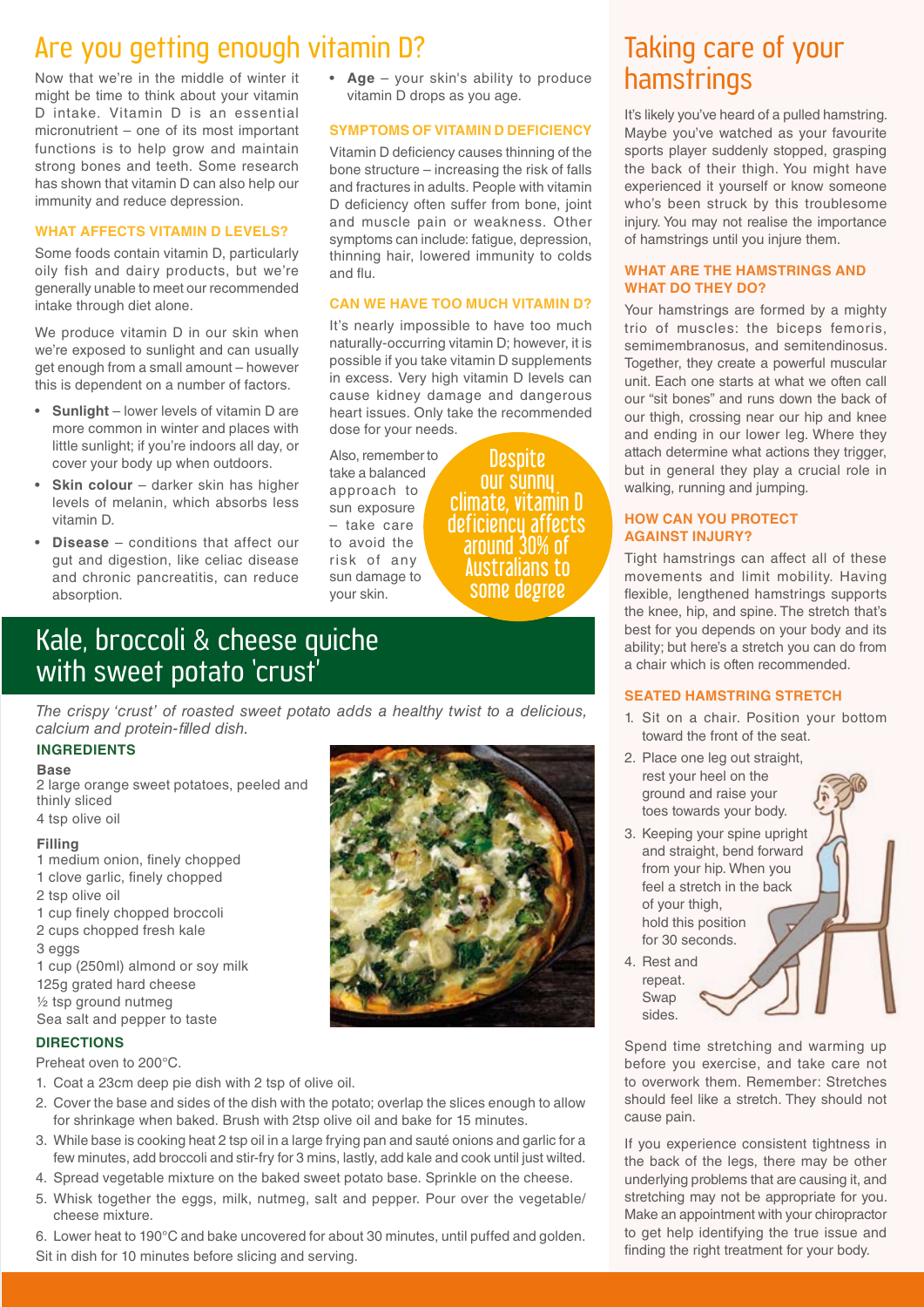# Are you getting enough vitamin D?

Now that we're in the middle of winter it might be time to think about your vitamin D intake. Vitamin D is an essential micronutrient – one of its most important functions is to help grow and maintain strong bones and teeth. Some research has shown that vitamin D can also help our immunity and reduce depression.

#### **WHAT AFFECTS VITAMIN D LEVELS?**

Some foods contain vitamin D, particularly oily fish and dairy products, but we're generally unable to meet our recommended intake through diet alone.

We produce vitamin D in our skin when we're exposed to sunlight and can usually get enough from a small amount – however this is dependent on a number of factors.

- **Sunlight** lower levels of vitamin D are more common in winter and places with little sunlight; if you're indoors all day, or cover your body up when outdoors.
- **Skin colour** darker skin has higher levels of melanin, which absorbs less vitamin D.
- **Disease** conditions that affect our gut and digestion, like celiac disease and chronic pancreatitis, can reduce absorption.

• **Age** – your skin's ability to produce vitamin D drops as you age.

#### **SYMPTOMS OF VITAMIN D DEFICIENCY**

Vitamin D deficiency causes thinning of the bone structure – increasing the risk of falls and fractures in adults. People with vitamin D deficiency often suffer from bone, joint and muscle pain or weakness. Other symptoms can include: fatigue, depression, thinning hair, lowered immunity to colds and flu.

#### **CAN WE HAVE TOO MUCH VITAMIN D?**

It's nearly impossible to have too much naturally-occurring vitamin D; however, it is possible if you take vitamin D supplements in excess. Very high vitamin D levels can cause kidney damage and dangerous heart issues. Only take the recommended dose for your needs.

Also, remember to take a balanced approach to sun exposure – take care to avoid the risk of any sun damage to your skin.

**Despite** our sunny climate, vitamin D deficiency affects around 30% of Australians to some degree

### Kale, broccoli & cheese quiche with sweet potato 'crust<sup>'</sup>

*The crispy 'crust' of roasted sweet potato adds a healthy twist to a delicious, calcium and protein-filled dish.*

#### **INGREDIENTS**

#### **Base**

2 large orange sweet potatoes, peeled and thinly sliced 4 tsp olive oil

- **Filling** 1 medium onion, finely chopped
- 1 clove garlic, finely chopped
- 2 tsp olive oil
- 1 cup finely chopped broccoli
- 2 cups chopped fresh kale
- 3 eggs

1 cup (250ml) almond or soy milk 125g grated hard cheese ½ tsp ground nutmeg Sea salt and pepper to taste

#### **DIRECTIONS**

Preheat oven to 200°C.

- 1. Coat a 23cm deep pie dish with 2 tsp of olive oil.
- 2. Cover the base and sides of the dish with the potato; overlap the slices enough to allow for shrinkage when baked. Brush with 2tsp olive oil and bake for 15 minutes.
- 3. While base is cooking heat 2 tsp oil in a large frying pan and sauté onions and garlic for a few minutes, add broccoli and stir-fry for 3 mins, lastly, add kale and cook until just wilted.
- 4. Spread vegetable mixture on the baked sweet potato base. Sprinkle on the cheese.
- 5. Whisk together the eggs, milk, nutmeg, salt and pepper. Pour over the vegetable/ cheese mixture.
- 6. Lower heat to 190°C and bake uncovered for about 30 minutes, until puffed and golden.

Sit in dish for 10 minutes before slicing and serving.



# Taking care of your hamstrings

It's likely you've heard of a pulled hamstring. Maybe you've watched as your favourite sports player suddenly stopped, grasping the back of their thigh. You might have experienced it yourself or know someone who's been struck by this troublesome injury. You may not realise the importance of hamstrings until you injure them.

#### **WHAT ARE THE HAMSTRINGS AND WHAT DO THEY DO?**

Your hamstrings are formed by a mighty trio of muscles: the biceps femoris, semimembranosus, and semitendinosus. Together, they create a powerful muscular unit. Each one starts at what we often call our "sit bones" and runs down the back of our thigh, crossing near our hip and knee and ending in our lower leg. Where they attach determine what actions they trigger, but in general they play a crucial role in walking, running and jumping.

#### **HOW CAN YOU PROTECT AGAINST INJURY?**

Tight hamstrings can affect all of these movements and limit mobility. Having flexible, lengthened hamstrings supports the knee, hip, and spine. The stretch that's best for you depends on your body and its ability; but here's a stretch you can do from a chair which is often recommended.

#### **SEATED HAMSTRING STRETCH**

- 1. Sit on a chair. Position your bottom toward the front of the seat.
- 2. Place one leg out straight, rest your heel on the ground and raise your toes towards your body.
- 3. Keeping your spine upright and straight, bend forward from your hip. When you feel a stretch in the back of your thigh, hold this position for 30 seconds.
- 4. Rest and repeat. Swap sides.

Spend time stretching and warming up before you exercise, and take care not to overwork them. Remember: Stretches should feel like a stretch. They should not cause pain.

If you experience consistent tightness in the back of the legs, there may be other underlying problems that are causing it, and stretching may not be appropriate for you. Make an appointment with your chiropractor to get help identifying the true issue and finding the right treatment for your body.